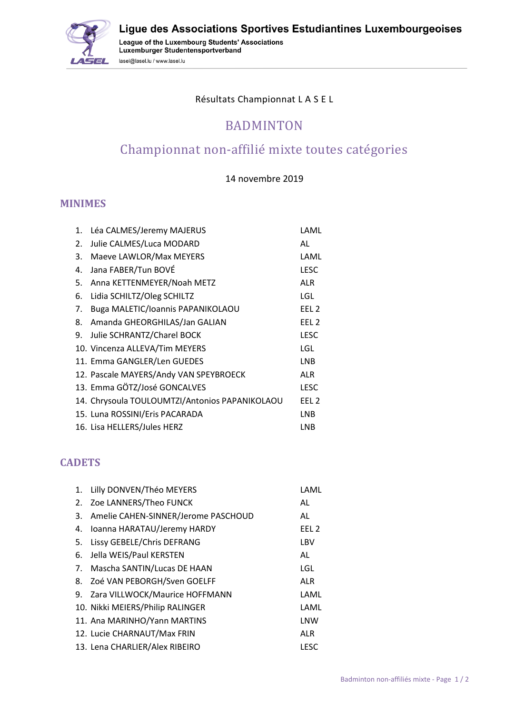<u>: Gele</u>

Ligue des Associations Sportives Estudiantines Luxembourgeoises

League of the Luxembourg Students' Associations<br>Luxemburger Studentensportverband lasel@lasel.lu / www.lasel.lu

#### Résultats Championnat L A S E L

## BADMINTON

# Championnat non-affilié mixte toutes catégories

#### 14 novembre 2019

#### **MINIMES**

| 1. | Léa CALMES/Jeremy MAJERUS                      | LAML             |
|----|------------------------------------------------|------------------|
| 2. | Julie CALMES/Luca MODARD                       | AL               |
| 3. | Maeve LAWLOR/Max MEYERS                        | LAML             |
| 4. | Jana FABER/Tun BOVÉ                            | <b>LESC</b>      |
| 5. | Anna KETTENMEYER/Noah METZ                     | <b>ALR</b>       |
| 6. | Lidia SCHILTZ/Oleg SCHILTZ                     | LGL              |
| 7. | Buga MALETIC/Ioannis PAPANIKOLAOU              | EEL <sub>2</sub> |
| 8. | Amanda GHEORGHILAS/Jan GALIAN                  | EEL <sub>2</sub> |
| 9. | Julie SCHRANTZ/Charel BOCK                     | <b>LESC</b>      |
|    | 10. Vincenza ALLEVA/Tim MEYERS                 | LGL              |
|    | 11. Emma GANGLER/Len GUEDES                    | <b>LNB</b>       |
|    | 12. Pascale MAYERS/Andy VAN SPEYBROECK         | ALR              |
|    | 13. Emma GÖTZ/José GONCALVES                   | <b>LESC</b>      |
|    | 14. Chrysoula TOULOUMTZI/Antonios PAPANIKOLAOU | EEL <sub>2</sub> |
|    | 15. Luna ROSSINI/Eris PACARADA                 | <b>LNB</b>       |
|    | 16. Lisa HELLERS/Jules HERZ                    | LNB              |
|    |                                                |                  |

### **CADETS**

| 1. | Lilly DONVEN/Théo MEYERS            | LAML             |
|----|-------------------------------------|------------------|
| 2. | Zoe LANNERS/Theo FUNCK              | AL               |
| 3. | Amelie CAHEN-SINNER/Jerome PASCHOUD | AL               |
| 4. | Ioanna HARATAU/Jeremy HARDY         | EEL <sub>2</sub> |
| 5. | Lissy GEBELE/Chris DEFRANG          | LBV              |
| 6. | Jella WEIS/Paul KERSTEN             | AL               |
| 7. | Mascha SANTIN/Lucas DE HAAN         | LGL              |
| 8. | Zoé VAN PEBORGH/Sven GOELFF         | <b>ALR</b>       |
| 9. | Zara VILLWOCK/Maurice HOFFMANN      | LAML             |
|    | 10. Nikki MEIERS/Philip RALINGER    | LAML             |
|    | 11. Ana MARINHO/Yann MARTINS        | LNW              |
|    | 12. Lucie CHARNAUT/Max FRIN         | <b>ALR</b>       |
|    | 13. Lena CHARLIER/Alex RIBEIRO      | <b>LESC</b>      |